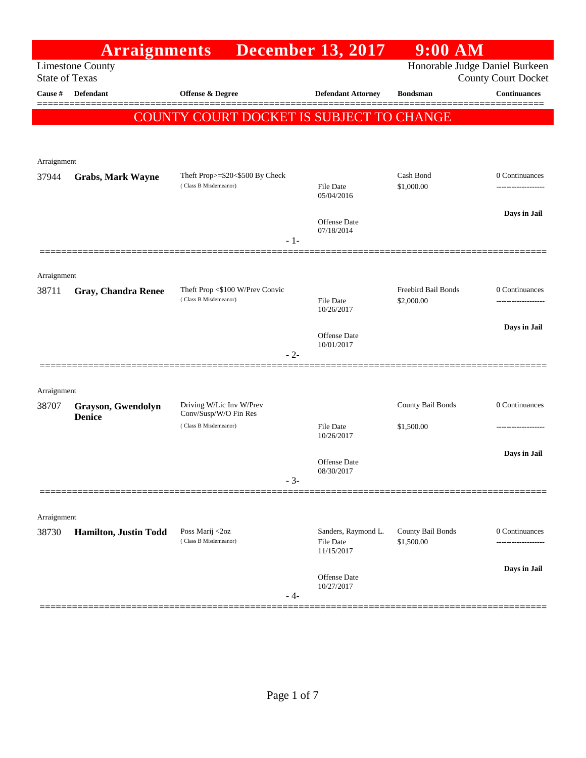|                       | <b>Arraignments</b>                 |                                                          | <b>December 13, 2017</b>          | $9:00$ AM                      |                            |
|-----------------------|-------------------------------------|----------------------------------------------------------|-----------------------------------|--------------------------------|----------------------------|
| <b>State of Texas</b> | <b>Limestone County</b>             |                                                          |                                   | Honorable Judge Daniel Burkeen | <b>County Court Docket</b> |
| Cause #               | Defendant                           | Offense & Degree                                         | <b>Defendant Attorney</b>         | <b>Bondsman</b>                | <b>Continuances</b>        |
|                       |                                     | COUNTY COURT DOCKET IS SUBJECT TO CHANGE                 |                                   |                                |                            |
|                       |                                     |                                                          |                                   |                                |                            |
| Arraignment           |                                     |                                                          |                                   |                                |                            |
| 37944                 | <b>Grabs, Mark Wayne</b>            | Theft Prop>=\$20<\$500 By Check                          |                                   | Cash Bond                      | 0 Continuances             |
|                       |                                     | (Class B Misdemeanor)                                    | <b>File Date</b><br>05/04/2016    | \$1,000.00                     | -----------------          |
|                       |                                     |                                                          |                                   |                                | Days in Jail               |
|                       |                                     |                                                          | Offense Date<br>07/18/2014        |                                |                            |
|                       |                                     | $-1-$                                                    |                                   |                                |                            |
| Arraignment           |                                     |                                                          |                                   |                                |                            |
| 38711                 | <b>Gray, Chandra Renee</b>          | Theft Prop <\$100 W/Prev Convic<br>(Class B Misdemeanor) |                                   | Freebird Bail Bonds            | 0 Continuances             |
|                       |                                     |                                                          | <b>File Date</b><br>10/26/2017    | \$2,000.00                     |                            |
|                       |                                     |                                                          | <b>Offense Date</b>               |                                | Days in Jail               |
|                       |                                     | - 2-                                                     | 10/01/2017                        |                                |                            |
|                       |                                     |                                                          |                                   |                                |                            |
| Arraignment           |                                     |                                                          |                                   |                                |                            |
| 38707                 | Grayson, Gwendolyn<br><b>Denice</b> | Driving W/Lic Inv W/Prev<br>Conv/Susp/W/O Fin Res        |                                   | County Bail Bonds              | 0 Continuances             |
|                       |                                     | (Class B Misdemeanor)                                    | <b>File Date</b><br>10/26/2017    | \$1,500.00                     |                            |
|                       |                                     |                                                          |                                   |                                | Days in Jail               |
|                       |                                     |                                                          | <b>Offense Date</b><br>08/30/2017 |                                |                            |
|                       |                                     | $-3-$                                                    |                                   |                                |                            |
|                       |                                     |                                                          |                                   |                                |                            |
| Arraignment<br>38730  | Hamilton, Justin Todd               | Poss Marij <2oz                                          | Sanders, Raymond L.               | County Bail Bonds              | 0 Continuances             |
|                       |                                     | (Class B Misdemeanor)                                    | <b>File Date</b><br>11/15/2017    | \$1,500.00                     | -----------------          |
|                       |                                     |                                                          |                                   |                                | Days in Jail               |
|                       |                                     |                                                          | <b>Offense Date</b><br>10/27/2017 |                                |                            |
|                       |                                     | - 4-                                                     |                                   |                                |                            |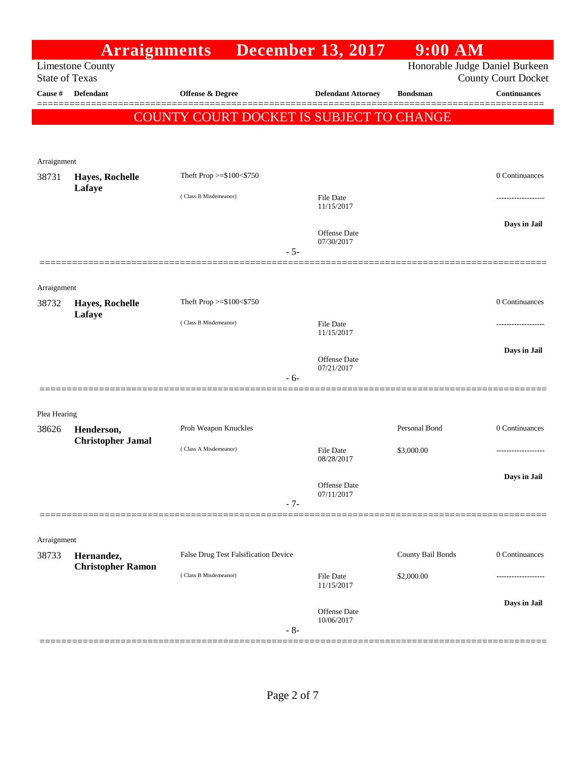|                       | <b>Arraignments</b>                    |                                          |       | <b>December 13, 2017</b>          | $9:00$ AM         |                                                              |
|-----------------------|----------------------------------------|------------------------------------------|-------|-----------------------------------|-------------------|--------------------------------------------------------------|
| <b>State of Texas</b> | <b>Limestone County</b>                |                                          |       |                                   |                   | Honorable Judge Daniel Burkeen<br><b>County Court Docket</b> |
| <b>Cause #</b>        | <b>Defendant</b>                       | Offense & Degree                         |       | <b>Defendant Attorney</b>         | <b>Bondsman</b>   | <b>Continuances</b>                                          |
|                       |                                        |                                          |       |                                   |                   | ======                                                       |
|                       |                                        | COUNTY COURT DOCKET IS SUBJECT TO CHANGE |       |                                   |                   |                                                              |
|                       |                                        |                                          |       |                                   |                   |                                                              |
| Arraignment           |                                        |                                          |       |                                   |                   |                                                              |
| 38731                 | Hayes, Rochelle                        | Theft Prop >=\$100<\$750                 |       |                                   |                   | 0 Continuances                                               |
|                       | Lafaye                                 | (Class B Misdemeanor)                    |       | <b>File Date</b>                  |                   |                                                              |
|                       |                                        |                                          |       | 11/15/2017                        |                   |                                                              |
|                       |                                        |                                          |       | <b>Offense Date</b><br>07/30/2017 |                   | Days in Jail                                                 |
|                       |                                        |                                          | $-5-$ |                                   |                   |                                                              |
|                       |                                        |                                          |       |                                   |                   |                                                              |
| Arraignment           |                                        |                                          |       |                                   |                   |                                                              |
| 38732                 | Hayes, Rochelle<br>Lafaye              | Theft Prop >=\$100<\$750                 |       |                                   |                   | 0 Continuances                                               |
|                       |                                        | (Class B Misdemeanor)                    |       | <b>File Date</b><br>11/15/2017    |                   |                                                              |
|                       |                                        |                                          |       |                                   |                   | Days in Jail                                                 |
|                       |                                        |                                          |       | <b>Offense Date</b><br>07/21/2017 |                   |                                                              |
|                       |                                        |                                          | $-6-$ |                                   |                   |                                                              |
|                       |                                        |                                          |       |                                   |                   |                                                              |
| Plea Hearing          |                                        |                                          |       |                                   |                   |                                                              |
| 38626                 | Henderson,<br><b>Christopher Jamal</b> | Proh Weapon Knuckles                     |       |                                   | Personal Bond     | 0 Continuances                                               |
|                       |                                        | (Class A Misdemeanor)                    |       | <b>File Date</b><br>08/28/2017    | \$3,000.00        | --------------                                               |
|                       |                                        |                                          |       |                                   |                   | Days in Jail                                                 |
|                       |                                        |                                          |       | <b>Offense Date</b><br>07/11/2017 |                   |                                                              |
|                       |                                        |                                          | $-7-$ |                                   |                   |                                                              |
|                       |                                        |                                          |       |                                   |                   |                                                              |
| Arraignment           |                                        | False Drug Test Falsification Device     |       |                                   | County Bail Bonds | 0 Continuances                                               |
| 38733                 | Hernandez,<br><b>Christopher Ramon</b> |                                          |       |                                   |                   |                                                              |
|                       |                                        | (Class B Misdemeanor)                    |       | <b>File Date</b><br>11/15/2017    | \$2,000.00        |                                                              |
|                       |                                        |                                          |       |                                   |                   | Days in Jail                                                 |
|                       |                                        |                                          |       | <b>Offense Date</b><br>10/06/2017 |                   |                                                              |
|                       |                                        |                                          | $-8-$ |                                   |                   |                                                              |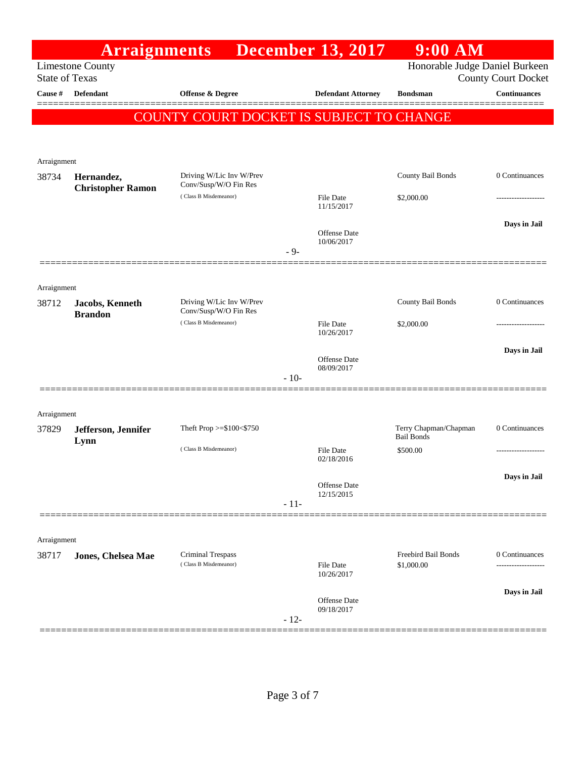|                       | <b>Arraignments</b>                    |                                                   |        | <b>December 13, 2017</b>       | $9:00$ AM                                  |                            |
|-----------------------|----------------------------------------|---------------------------------------------------|--------|--------------------------------|--------------------------------------------|----------------------------|
| <b>State of Texas</b> | <b>Limestone County</b>                |                                                   |        |                                | Honorable Judge Daniel Burkeen             | <b>County Court Docket</b> |
| Cause #               | <b>Defendant</b>                       | <b>Offense &amp; Degree</b>                       |        | <b>Defendant Attorney</b>      | <b>Bondsman</b>                            | <b>Continuances</b>        |
|                       |                                        | COUNTY COURT DOCKET IS SUBJECT TO CHANGE          |        |                                |                                            |                            |
| Arraignment           |                                        |                                                   |        |                                |                                            |                            |
| 38734                 | Hernandez,<br><b>Christopher Ramon</b> | Driving W/Lic Inv W/Prev<br>Conv/Susp/W/O Fin Res |        |                                | County Bail Bonds                          | 0 Continuances             |
|                       |                                        | (Class B Misdemeanor)                             |        | File Date<br>11/15/2017        | \$2,000.00                                 |                            |
|                       |                                        |                                                   | $-9-$  | Offense Date<br>10/06/2017     |                                            | Days in Jail               |
| Arraignment           |                                        |                                                   |        |                                |                                            |                            |
| 38712                 | Jacobs, Kenneth<br><b>Brandon</b>      | Driving W/Lic Inv W/Prev<br>Conv/Susp/W/O Fin Res |        |                                | County Bail Bonds                          | 0 Continuances             |
|                       |                                        | (Class B Misdemeanor)                             |        | File Date<br>10/26/2017        | \$2,000.00                                 |                            |
|                       |                                        |                                                   |        | Offense Date<br>08/09/2017     |                                            | Days in Jail               |
|                       |                                        |                                                   | $-10-$ |                                |                                            |                            |
| Arraignment           |                                        |                                                   |        |                                |                                            |                            |
| 37829                 | Jefferson, Jennifer<br>Lynn            | Theft Prop >=\$100<\$750                          |        |                                | Terry Chapman/Chapman<br><b>Bail Bonds</b> | 0 Continuances             |
|                       |                                        | (Class B Misdemeanor)                             |        | <b>File Date</b><br>02/18/2016 | \$500.00                                   |                            |
|                       |                                        |                                                   |        | Offense Date<br>12/15/2015     |                                            | Days in Jail               |
|                       |                                        |                                                   | $-11-$ |                                |                                            |                            |
| Arraignment           |                                        |                                                   |        |                                |                                            |                            |
| 38717                 | Jones, Chelsea Mae                     | Criminal Trespass<br>(Class B Misdemeanor)        |        | <b>File Date</b><br>10/26/2017 | Freebird Bail Bonds<br>\$1,000.00          | 0 Continuances             |
|                       |                                        |                                                   |        | <b>Offense Date</b>            |                                            | Days in Jail               |
|                       |                                        |                                                   | $-12-$ | 09/18/2017                     |                                            |                            |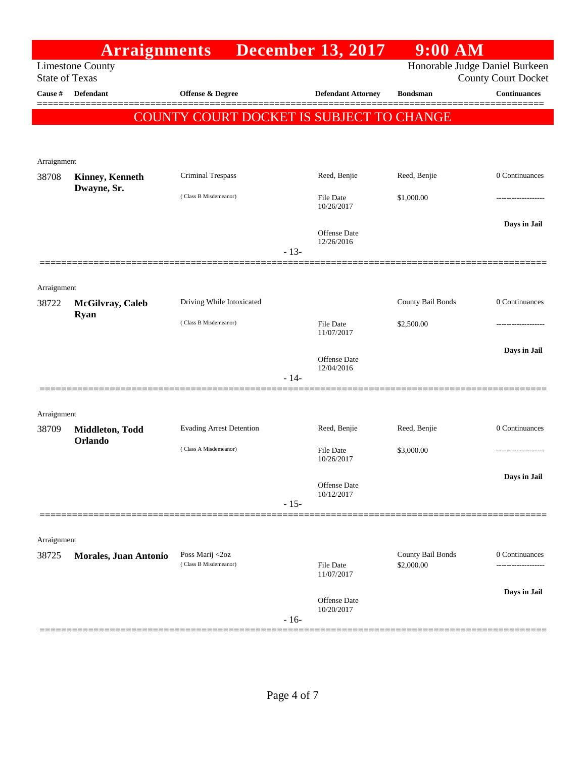|                       | <b>Arraignments</b>        |                                          |        | <b>December 13, 2017</b>          | $9:00$ AM                       |                                                              |
|-----------------------|----------------------------|------------------------------------------|--------|-----------------------------------|---------------------------------|--------------------------------------------------------------|
| <b>State of Texas</b> | <b>Limestone County</b>    |                                          |        |                                   |                                 | Honorable Judge Daniel Burkeen<br><b>County Court Docket</b> |
| Cause #               | <b>Defendant</b>           | <b>Offense &amp; Degree</b>              |        | <b>Defendant Attorney</b>         | <b>Bondsman</b>                 | <b>Continuances</b>                                          |
|                       |                            | COUNTY COURT DOCKET IS SUBJECT TO CHANGE |        |                                   |                                 |                                                              |
|                       |                            |                                          |        |                                   |                                 |                                                              |
| Arraignment           |                            |                                          |        |                                   |                                 |                                                              |
| 38708                 | <b>Kinney, Kenneth</b>     | Criminal Trespass                        |        | Reed, Benjie                      | Reed, Benjie                    | 0 Continuances                                               |
|                       | Dwayne, Sr.                | (Class B Misdemeanor)                    |        | <b>File Date</b><br>10/26/2017    | \$1,000.00                      |                                                              |
|                       |                            |                                          |        | Offense Date<br>12/26/2016        |                                 | Days in Jail                                                 |
|                       |                            |                                          | $-13-$ |                                   |                                 |                                                              |
| Arraignment           |                            |                                          |        |                                   |                                 |                                                              |
| 38722                 | McGilvray, Caleb           | Driving While Intoxicated                |        |                                   | County Bail Bonds               | 0 Continuances                                               |
|                       | <b>Ryan</b>                | (Class B Misdemeanor)                    |        | <b>File Date</b><br>11/07/2017    | \$2,500.00                      |                                                              |
|                       |                            |                                          |        | <b>Offense Date</b>               |                                 | Days in Jail                                                 |
|                       |                            |                                          | $-14-$ | 12/04/2016                        |                                 |                                                              |
|                       |                            |                                          |        |                                   |                                 |                                                              |
| Arraignment           |                            |                                          |        |                                   |                                 |                                                              |
| 38709                 | Middleton, Todd<br>Orlando | <b>Evading Arrest Detention</b>          |        | Reed, Benjie                      | Reed, Benjie                    | 0 Continuances                                               |
|                       |                            | (Class A Misdemeanor)                    |        | <b>File Date</b><br>10/26/2017    | \$3,000.00                      |                                                              |
|                       |                            |                                          |        | Offense Date                      |                                 | Days in Jail                                                 |
|                       |                            |                                          | $-15-$ | 10/12/2017                        |                                 |                                                              |
|                       |                            |                                          |        |                                   |                                 |                                                              |
| Arraignment           |                            |                                          |        |                                   |                                 |                                                              |
| 38725                 | Morales, Juan Antonio      | Poss Marij <2oz<br>(Class B Misdemeanor) |        | <b>File Date</b><br>11/07/2017    | County Bail Bonds<br>\$2,000.00 | 0 Continuances                                               |
|                       |                            |                                          | $-16-$ | <b>Offense Date</b><br>10/20/2017 |                                 | Days in Jail                                                 |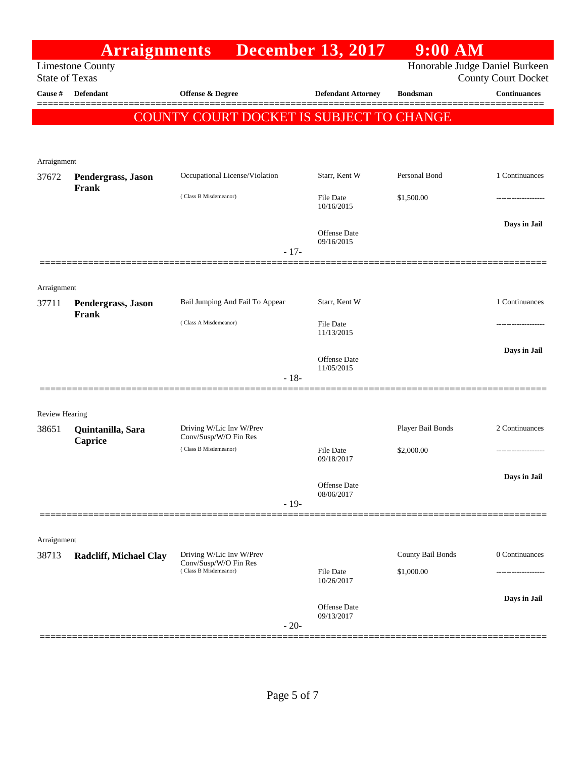|                       | <b>Arraignments</b>           |                                                   | <b>December 13, 2017</b>          | $9:00$ AM                      |                            |
|-----------------------|-------------------------------|---------------------------------------------------|-----------------------------------|--------------------------------|----------------------------|
| <b>State of Texas</b> | <b>Limestone County</b>       |                                                   |                                   | Honorable Judge Daniel Burkeen | <b>County Court Docket</b> |
| Cause #               | <b>Defendant</b>              | <b>Offense &amp; Degree</b>                       | <b>Defendant Attorney</b>         | <b>Bondsman</b>                | <b>Continuances</b>        |
|                       |                               | COUNTY COURT DOCKET IS SUBJECT TO CHANGE          |                                   |                                |                            |
|                       |                               |                                                   |                                   |                                |                            |
|                       |                               |                                                   |                                   |                                |                            |
| Arraignment<br>37672  | Pendergrass, Jason            | Occupational License/Violation                    | Starr, Kent W                     | Personal Bond                  | 1 Continuances             |
|                       | Frank                         | (Class B Misdemeanor)                             | File Date                         | \$1,500.00                     |                            |
|                       |                               |                                                   | 10/16/2015                        |                                |                            |
|                       |                               |                                                   | Offense Date                      |                                | Days in Jail               |
|                       |                               | $-17-$                                            | 09/16/2015                        |                                |                            |
|                       |                               |                                                   |                                   |                                |                            |
| Arraignment           |                               |                                                   |                                   |                                |                            |
| 37711                 | Pendergrass, Jason            | Bail Jumping And Fail To Appear                   | Starr, Kent W                     |                                | 1 Continuances             |
|                       | Frank                         | (Class A Misdemeanor)                             | File Date                         |                                |                            |
|                       |                               |                                                   | 11/13/2015                        |                                |                            |
|                       |                               |                                                   | Offense Date<br>11/05/2015        |                                | Days in Jail               |
|                       |                               | $-18-$                                            |                                   |                                |                            |
|                       |                               |                                                   |                                   |                                |                            |
| <b>Review Hearing</b> |                               |                                                   |                                   |                                |                            |
| 38651                 | Quintanilla, Sara<br>Caprice  | Driving W/Lic Inv W/Prev<br>Conv/Susp/W/O Fin Res |                                   | Player Bail Bonds              | 2 Continuances             |
|                       |                               | (Class B Misdemeanor)                             | <b>File Date</b><br>09/18/2017    | \$2,000.00                     |                            |
|                       |                               |                                                   |                                   |                                | Days in Jail               |
|                       |                               |                                                   | Offense Date<br>08/06/2017        |                                |                            |
|                       |                               | $-19-$                                            |                                   |                                |                            |
| Arraignment           |                               |                                                   |                                   |                                |                            |
| 38713                 | <b>Radcliff, Michael Clay</b> | Driving W/Lic Inv W/Prev                          |                                   | County Bail Bonds              | 0 Continuances             |
|                       |                               | Conv/Susp/W/O Fin Res<br>(Class B Misdemeanor)    | File Date                         | \$1,000.00                     |                            |
|                       |                               |                                                   | 10/26/2017                        |                                |                            |
|                       |                               |                                                   | <b>Offense Date</b><br>09/13/2017 |                                | Days in Jail               |
|                       |                               | $-20-$                                            |                                   |                                |                            |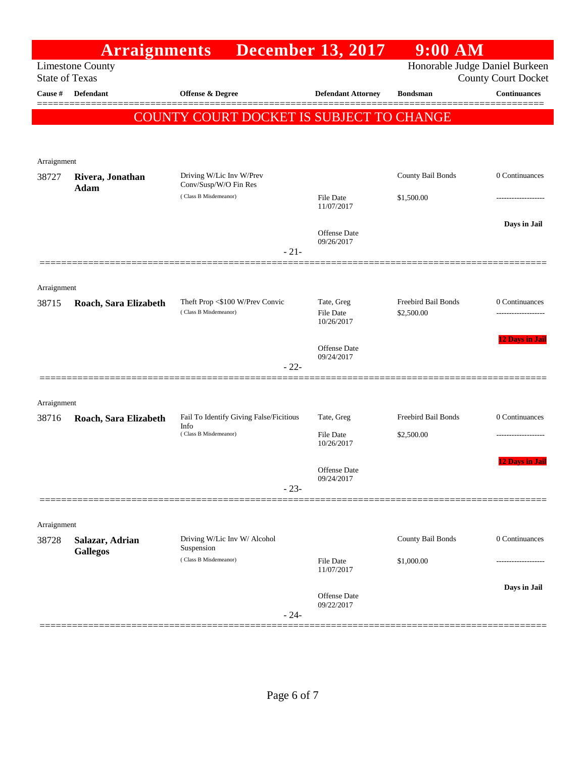|                       | <b>Arraignments</b>                |                                                 | <b>December 13, 2017</b>          | $9:00$ AM                |                                                              |
|-----------------------|------------------------------------|-------------------------------------------------|-----------------------------------|--------------------------|--------------------------------------------------------------|
| <b>State of Texas</b> | <b>Limestone County</b>            |                                                 |                                   |                          | Honorable Judge Daniel Burkeen<br><b>County Court Docket</b> |
| Cause #               | <b>Defendant</b>                   | <b>Offense &amp; Degree</b>                     | <b>Defendant Attorney</b>         | <b>Bondsman</b>          | <b>Continuances</b>                                          |
|                       |                                    | COUNTY COURT DOCKET IS SUBJECT TO CHANGE        |                                   |                          |                                                              |
|                       |                                    |                                                 |                                   |                          |                                                              |
|                       |                                    |                                                 |                                   |                          |                                                              |
| Arraignment<br>38727  | Rivera, Jonathan                   | Driving W/Lic Inv W/Prev                        |                                   | <b>County Bail Bonds</b> | 0 Continuances                                               |
|                       | Adam                               | Conv/Susp/W/O Fin Res                           |                                   |                          |                                                              |
|                       |                                    | (Class B Misdemeanor)                           | <b>File Date</b><br>11/07/2017    | \$1,500.00               |                                                              |
|                       |                                    |                                                 |                                   |                          | Days in Jail                                                 |
|                       |                                    |                                                 | <b>Offense Date</b><br>09/26/2017 |                          |                                                              |
|                       |                                    | $-21-$                                          |                                   |                          |                                                              |
|                       |                                    |                                                 |                                   |                          |                                                              |
| Arraignment<br>38715  | Roach, Sara Elizabeth              | Theft Prop <\$100 W/Prev Convic                 | Tate, Greg                        | Freebird Bail Bonds      | 0 Continuances                                               |
|                       |                                    | (Class B Misdemeanor)                           | <b>File Date</b><br>10/26/2017    | \$2,500.00               |                                                              |
|                       |                                    |                                                 |                                   |                          | <b>12 Days in Jail</b>                                       |
|                       |                                    |                                                 | <b>Offense Date</b><br>09/24/2017 |                          |                                                              |
|                       |                                    | $-22-$                                          |                                   |                          |                                                              |
|                       |                                    |                                                 |                                   |                          |                                                              |
| Arraignment           |                                    |                                                 |                                   |                          |                                                              |
| 38716                 | Roach, Sara Elizabeth              | Fail To Identify Giving False/Ficitious<br>Info | Tate, Greg                        | Freebird Bail Bonds      | 0 Continuances                                               |
|                       |                                    | (Class B Misdemeanor)                           | <b>File Date</b><br>10/26/2017    | \$2,500.00               |                                                              |
|                       |                                    |                                                 |                                   |                          | 12 Days in Jail                                              |
|                       |                                    |                                                 | Offense Date<br>09/24/2017        |                          |                                                              |
|                       |                                    | $-23-$                                          |                                   |                          |                                                              |
|                       |                                    |                                                 |                                   |                          |                                                              |
| Arraignment<br>38728  |                                    | Driving W/Lic Inv W/ Alcohol                    |                                   | County Bail Bonds        | 0 Continuances                                               |
|                       | Salazar, Adrian<br><b>Gallegos</b> | Suspension                                      |                                   |                          |                                                              |
|                       |                                    | (Class B Misdemeanor)                           | <b>File Date</b><br>11/07/2017    | \$1,000.00               |                                                              |
|                       |                                    |                                                 |                                   |                          | Days in Jail                                                 |
|                       |                                    |                                                 | Offense Date<br>09/22/2017        |                          |                                                              |
|                       |                                    | $-24-$                                          |                                   |                          |                                                              |